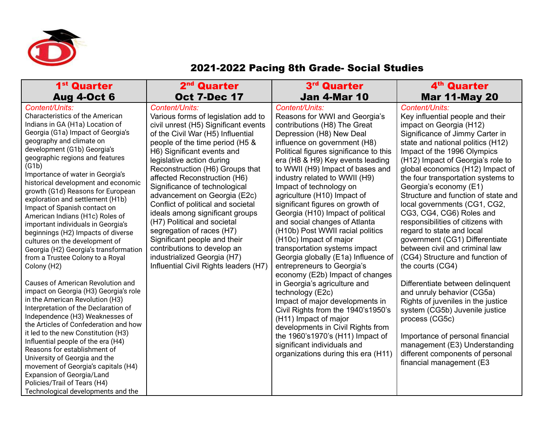

## 2021-2022 Pacing 8th Grade- Social Studies

| 2 <sup>nd</sup> Quarter                                                                                                                                                                                                                                                                                                                                                                                                                                                                                                                                                                                                        | 3 <sup>rd</sup> Quarter                                                                                                                                                                                                                                                                                                                                                                                                                                                                                                          | 4 <sup>th</sup> Quarter                                                                                                                                                                                                                                                                                                                                                                                                                                                                                                                                                                                                                                                                         |
|--------------------------------------------------------------------------------------------------------------------------------------------------------------------------------------------------------------------------------------------------------------------------------------------------------------------------------------------------------------------------------------------------------------------------------------------------------------------------------------------------------------------------------------------------------------------------------------------------------------------------------|----------------------------------------------------------------------------------------------------------------------------------------------------------------------------------------------------------------------------------------------------------------------------------------------------------------------------------------------------------------------------------------------------------------------------------------------------------------------------------------------------------------------------------|-------------------------------------------------------------------------------------------------------------------------------------------------------------------------------------------------------------------------------------------------------------------------------------------------------------------------------------------------------------------------------------------------------------------------------------------------------------------------------------------------------------------------------------------------------------------------------------------------------------------------------------------------------------------------------------------------|
| <b>Oct 7-Dec 17</b><br>Content/Units:                                                                                                                                                                                                                                                                                                                                                                                                                                                                                                                                                                                          | <b>Jan 4-Mar 10</b>                                                                                                                                                                                                                                                                                                                                                                                                                                                                                                              | <b>Mar 11-May 20</b>                                                                                                                                                                                                                                                                                                                                                                                                                                                                                                                                                                                                                                                                            |
| Various forms of legislation add to<br>civil unrest (H5) Significant events<br>of the Civil War (H5) Influential<br>people of the time period (H5 &<br>H6) Significant events and<br>legislative action during<br>Reconstruction (H6) Groups that<br>affected Reconstruction (H6)<br>Significance of technological<br>advancement on Georgia (E2c)<br>Conflict of political and societal<br>ideals among significant groups<br>(H7) Political and societal<br>segregation of races (H7)<br>Significant people and their<br>contributions to develop an<br>industrialized Georgia (H7)<br>Influential Civil Rights leaders (H7) | Content/Units:<br>Reasons for WWI and Georgia's<br>contributions (H8) The Great<br>Depression (H8) New Deal<br>influence on government (H8)<br>Political figures significance to this<br>era (H8 & H9) Key events leading<br>to WWII (H9) Impact of bases and<br>industry related to WWII (H9)<br>Impact of technology on<br>agriculture (H10) Impact of<br>significant figures on growth of<br>Georgia (H10) Impact of political<br>and social changes of Atlanta<br>(H10b) Post WWII racial politics<br>(H10c) Impact of major | Content/Units:<br>Key influential people and their<br>impact on Georgia (H12)<br>Significance of Jimmy Carter in<br>state and national politics (H12)<br>Impact of the 1996 Olympics<br>(H12) Impact of Georgia's role to<br>global economics (H12) Impact of<br>the four transportation systems to<br>Georgia's economy (E1)<br>Structure and function of state and<br>local governments (CG1, CG2,<br>CG3, CG4, CG6) Roles and<br>responsibilities of citizens with<br>regard to state and local<br>government (CG1) Differentiate<br>between civil and criminal law<br>(CG4) Structure and function of<br>the courts (CG4)<br>Differentiate between delinquent<br>and unruly behavior (CG5a) |
|                                                                                                                                                                                                                                                                                                                                                                                                                                                                                                                                                                                                                                |                                                                                                                                                                                                                                                                                                                                                                                                                                                                                                                                  | Rights of juveniles in the justice<br>system (CG5b) Juvenile justice<br>process (CG5c)<br>Importance of personal financial<br>management (E3) Understanding<br>different components of personal<br>financial management (E3                                                                                                                                                                                                                                                                                                                                                                                                                                                                     |
|                                                                                                                                                                                                                                                                                                                                                                                                                                                                                                                                                                                                                                |                                                                                                                                                                                                                                                                                                                                                                                                                                                                                                                                  | transportation systems impact<br>Georgia globally (E1a) Influence of<br>entrepreneurs to Georgia's<br>economy (E2b) Impact of changes<br>in Georgia's agriculture and<br>technology (E2c)<br>Impact of major developments in<br>Civil Rights from the 1940's1950's<br>(H11) Impact of major<br>developments in Civil Rights from<br>the 1960's 1970's (H11) Impact of<br>significant individuals and<br>organizations during this era (H11)                                                                                                                                                                                                                                                     |